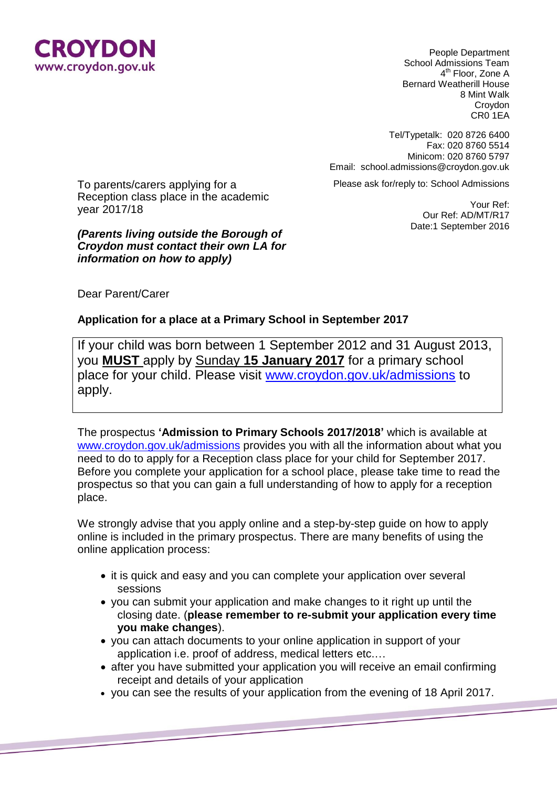

People Department School Admissions Team 4<sup>th</sup> Floor, Zone A Bernard Weatherill House 8 Mint Walk Croydon CR0 1EA

Tel/Typetalk: 020 8726 6400 Fax: 020 8760 5514 Minicom: 020 8760 5797 Email: school.admissions@croydon.gov.uk

Please ask for/reply to: School Admissions

To parents/carers applying for a Reception class place in the academic year 2017/18

*(Parents living outside the Borough of Croydon must contact their own LA for information on how to apply)*

Your Ref: Our Ref: AD/MT/R17 Date:1 September 2016

Dear Parent/Carer

## **Application for a place at a Primary School in September 2017**

If your child was born between 1 September 2012 and 31 August 2013, you **MUST** apply by Sunday **15 January 2017** for a primary school place for your child. Please visit [www.croydon.gov.uk/admissions](http://www.croydon.gov.uk/admissions) to apply.

The prospectus **'Admission to Primary Schools 2017/2018'** which is available at [www.croydon.gov.uk/admissions](http://www.croydon.gov.uk/admissions) provides you with all the information about what you need to do to apply for a Reception class place for your child for September 2017. Before you complete your application for a school place, please take time to read the prospectus so that you can gain a full understanding of how to apply for a reception place.

We strongly advise that you apply online and a step-by-step guide on how to apply online is included in the primary prospectus. There are many benefits of using the online application process:

- it is quick and easy and you can complete your application over several sessions
- you can submit your application and make changes to it right up until the closing date. (**please remember to re-submit your application every time you make changes**).
- you can attach documents to your online application in support of your application i.e. proof of address, medical letters etc.…
- after you have submitted your application you will receive an email confirming receipt and details of your application
- you can see the results of your application from the evening of 18 April 2017.